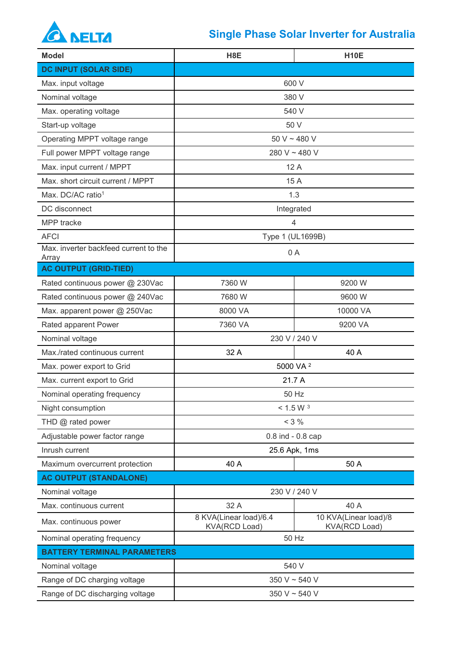

## **Single Phase Solar Inverter for Australia**

| <b>Model</b>                                   | H <sub>8</sub> E                               | <b>H10E</b>                                   |  |
|------------------------------------------------|------------------------------------------------|-----------------------------------------------|--|
| <b>DC INPUT (SOLAR SIDE)</b>                   |                                                |                                               |  |
| Max. input voltage                             | 600 V                                          |                                               |  |
| Nominal voltage                                | 380 V                                          |                                               |  |
| Max. operating voltage                         | 540 V                                          |                                               |  |
| Start-up voltage                               | 50 V                                           |                                               |  |
| Operating MPPT voltage range                   | 50 V ~ 480 V                                   |                                               |  |
| Full power MPPT voltage range                  | 280 V ~ 480 V                                  |                                               |  |
| Max. input current / MPPT                      | 12A                                            |                                               |  |
| Max. short circuit current / MPPT              | 15 A                                           |                                               |  |
| Max. DC/AC ratio <sup>1</sup>                  | 1.3                                            |                                               |  |
| DC disconnect                                  | Integrated                                     |                                               |  |
| MPP tracke                                     | $\overline{4}$                                 |                                               |  |
| <b>AFCI</b>                                    | Type 1 (UL1699B)                               |                                               |  |
| Max. inverter backfeed current to the<br>Array | 0A                                             |                                               |  |
| <b>AC OUTPUT (GRID-TIED)</b>                   |                                                |                                               |  |
| Rated continuous power @ 230Vac                | 7360 W                                         | 9200 W                                        |  |
| Rated continuous power @ 240Vac                | 7680 W                                         | 9600W                                         |  |
| Max. apparent power @ 250Vac                   | 8000 VA                                        | 10000 VA                                      |  |
| Rated apparent Power                           | 7360 VA                                        | 9200 VA                                       |  |
| Nominal voltage                                | 230 V / 240 V                                  |                                               |  |
| Max./rated continuous current                  | 32 A                                           | 40 A                                          |  |
| Max. power export to Grid                      | 5000 VA <sup>2</sup>                           |                                               |  |
| Max. current export to Grid                    | 21.7 A                                         |                                               |  |
| Nominal operating frequency                    | 50 Hz                                          |                                               |  |
| Night consumption                              | < 1.5 W <sup>3</sup>                           |                                               |  |
| THD @ rated power                              | $< 3 \%$                                       |                                               |  |
| Adjustable power factor range                  | $0.8$ ind $-0.8$ cap                           |                                               |  |
| Inrush current                                 | 25.6 Apk, 1ms                                  |                                               |  |
| Maximum overcurrent protection                 | 40 A                                           | 50 A                                          |  |
| <b>AC OUTPUT (STANDALONE)</b>                  |                                                |                                               |  |
| Nominal voltage                                | 230 V / 240 V                                  |                                               |  |
| Max. continuous current                        | 32 A                                           | 40 A                                          |  |
| Max. continuous power                          | 8 KVA(Linear load)/6.4<br><b>KVA(RCD Load)</b> | 10 KVA(Linear load)/8<br><b>KVA(RCD Load)</b> |  |
| Nominal operating frequency                    | 50 Hz                                          |                                               |  |
| <b>BATTERY TERMINAL PARAMETERS</b>             |                                                |                                               |  |
| Nominal voltage                                | 540 V                                          |                                               |  |
| Range of DC charging voltage                   | 350 V ~ 540 V                                  |                                               |  |
| Range of DC discharging voltage                | 350 V ~ 540 V                                  |                                               |  |